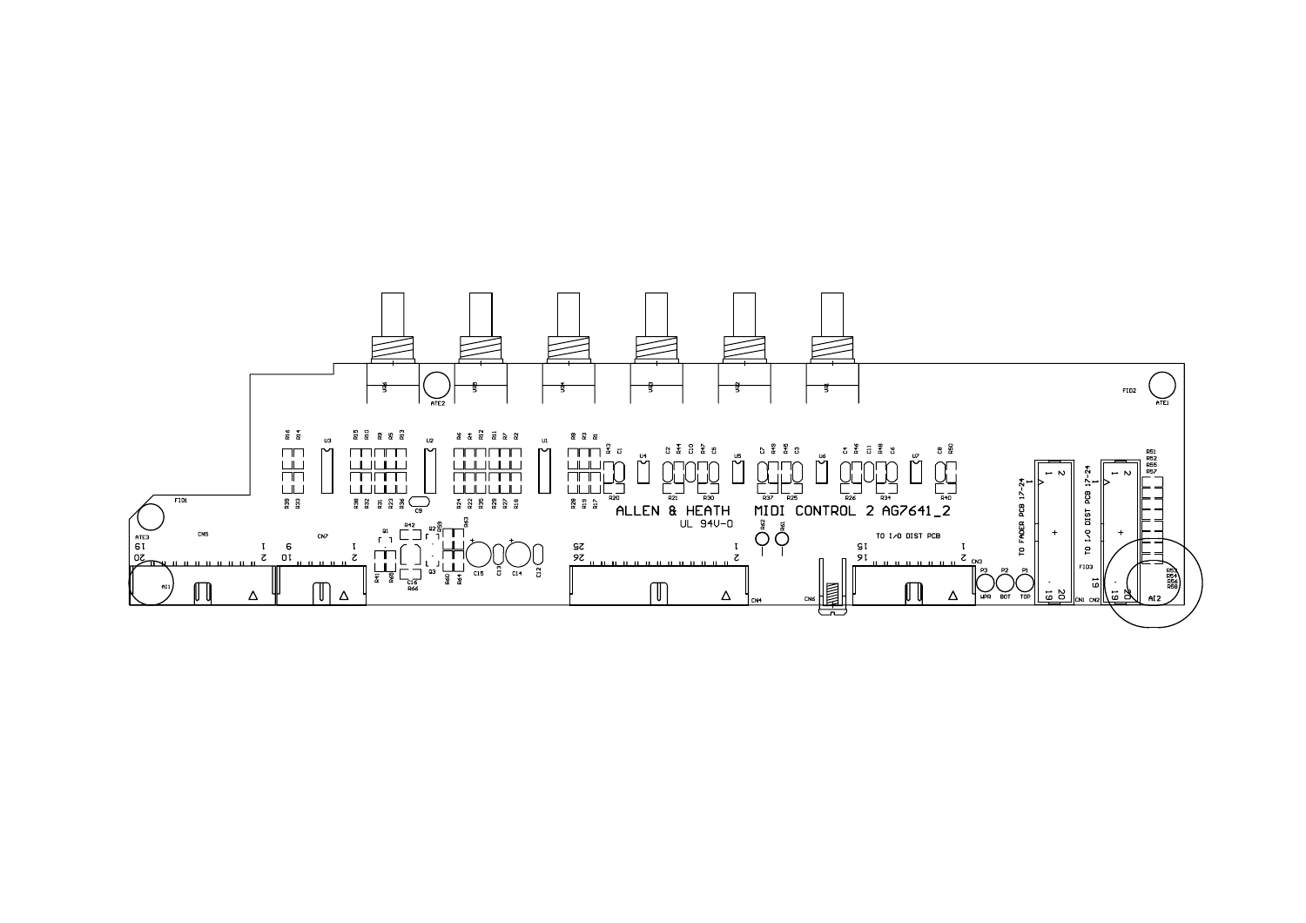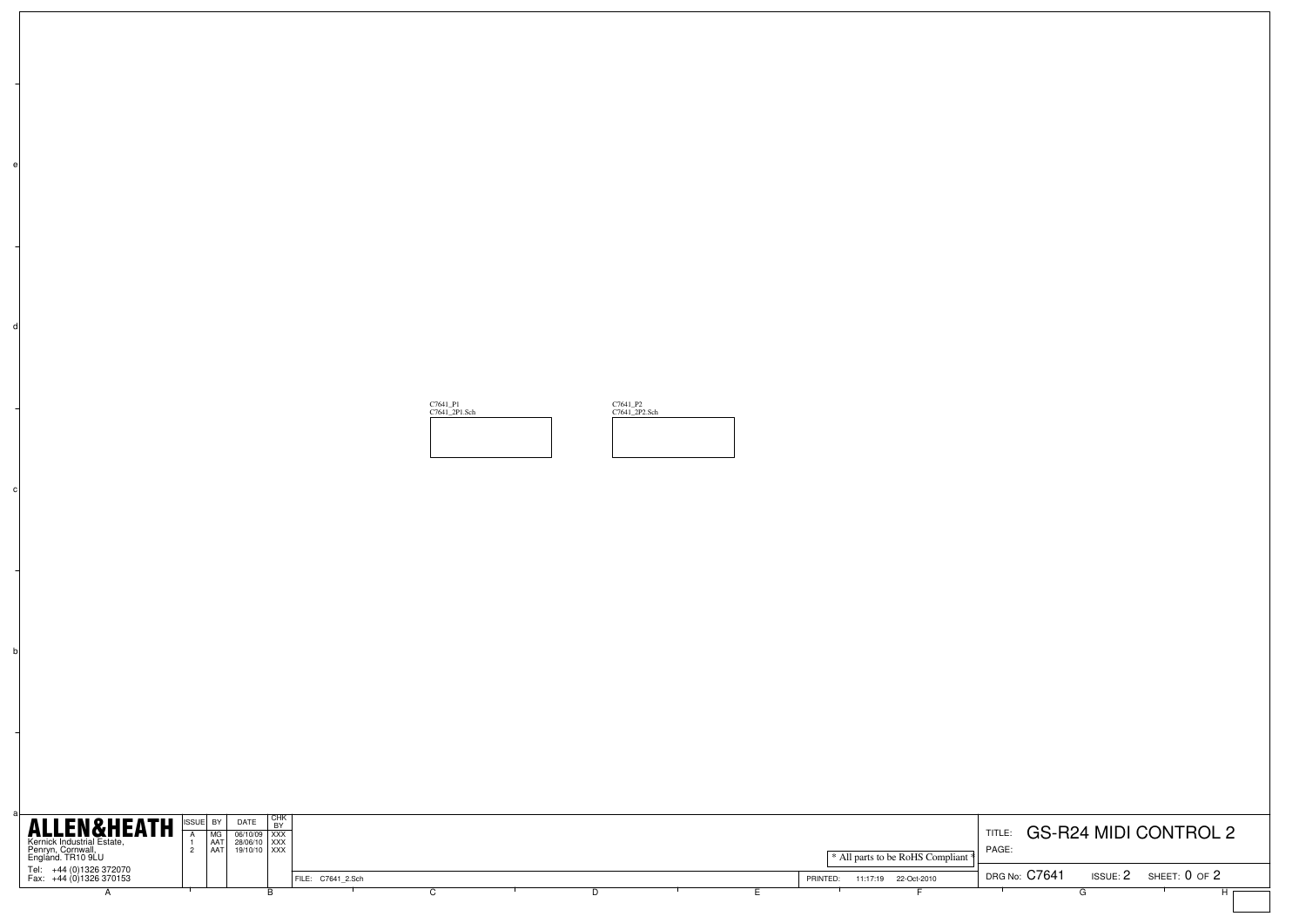| $\mathsf{d}$ |                                                                                                                                                                                                                  |                                                                                                                                                                                                                                                                                                                                                                                                                                                       |                   |                           |                           |                                                                   |                                                                                        |
|--------------|------------------------------------------------------------------------------------------------------------------------------------------------------------------------------------------------------------------|-------------------------------------------------------------------------------------------------------------------------------------------------------------------------------------------------------------------------------------------------------------------------------------------------------------------------------------------------------------------------------------------------------------------------------------------------------|-------------------|---------------------------|---------------------------|-------------------------------------------------------------------|----------------------------------------------------------------------------------------|
|              |                                                                                                                                                                                                                  |                                                                                                                                                                                                                                                                                                                                                                                                                                                       |                   | C7641_P1<br>C7641_2P1.Sch | C7641_P2<br>C7641_2P2.Sch |                                                                   |                                                                                        |
| c            |                                                                                                                                                                                                                  |                                                                                                                                                                                                                                                                                                                                                                                                                                                       |                   |                           |                           |                                                                   |                                                                                        |
|              |                                                                                                                                                                                                                  |                                                                                                                                                                                                                                                                                                                                                                                                                                                       |                   |                           |                           |                                                                   |                                                                                        |
| $\mathsf{b}$ |                                                                                                                                                                                                                  |                                                                                                                                                                                                                                                                                                                                                                                                                                                       |                   |                           |                           |                                                                   |                                                                                        |
|              |                                                                                                                                                                                                                  |                                                                                                                                                                                                                                                                                                                                                                                                                                                       |                   |                           |                           |                                                                   |                                                                                        |
|              | <b>ALLEN&amp;HEATH</b><br>ISSUE BY<br>MG<br>$\overline{A}$<br>Kernick Industrial Estate,<br>Penryn, Cornwall,<br>England. TR10 9LU<br>AAT<br>$\frac{1}{2}$<br>Tel: +44 (0)1326 372070<br>Fax: +44 (0)1326 370153 | $\begin{tabular}{c c} \multicolumn{1}{c}{\textbf{DATE}} & \multicolumn{1}{c}{\textbf{CHK}}\\ \hline \multicolumn{1}{c}{\textbf{DATE}} & \multicolumn{1}{c}{\textbf{BY}}\\ \hline \multicolumn{1}{c}{\textbf{06/10/09}} & \multicolumn{1}{c}{\textbf{XXX}}\\ \multicolumn{1}{c}{\textbf{28/06/10}} & \multicolumn{1}{c}{\textbf{XXX}}\\ \multicolumn{1}{c}{\textbf{19/10/10}} & \multicolumn{1}{c}{\textbf{XXX}}\\ \multicolumn{1}{c}{\textbf{19/10/1$ | FILE: C7641_2.Sch |                           |                           | * All parts to be RoHS Compliant<br>PRINTED: 11:17:19 22-Oct-2010 | TITLE: GS-R24 MIDI CONTROL 2<br>PAGE:<br>DRG No: C7641<br>$ISSUE: 2$ SHEET: $0$ of $2$ |
|              | $\overline{A}$                                                                                                                                                                                                   | B                                                                                                                                                                                                                                                                                                                                                                                                                                                     |                   | $\overline{C}$            | D                         | Ε                                                                 | $\sqrt{G}$<br>Нг                                                                       |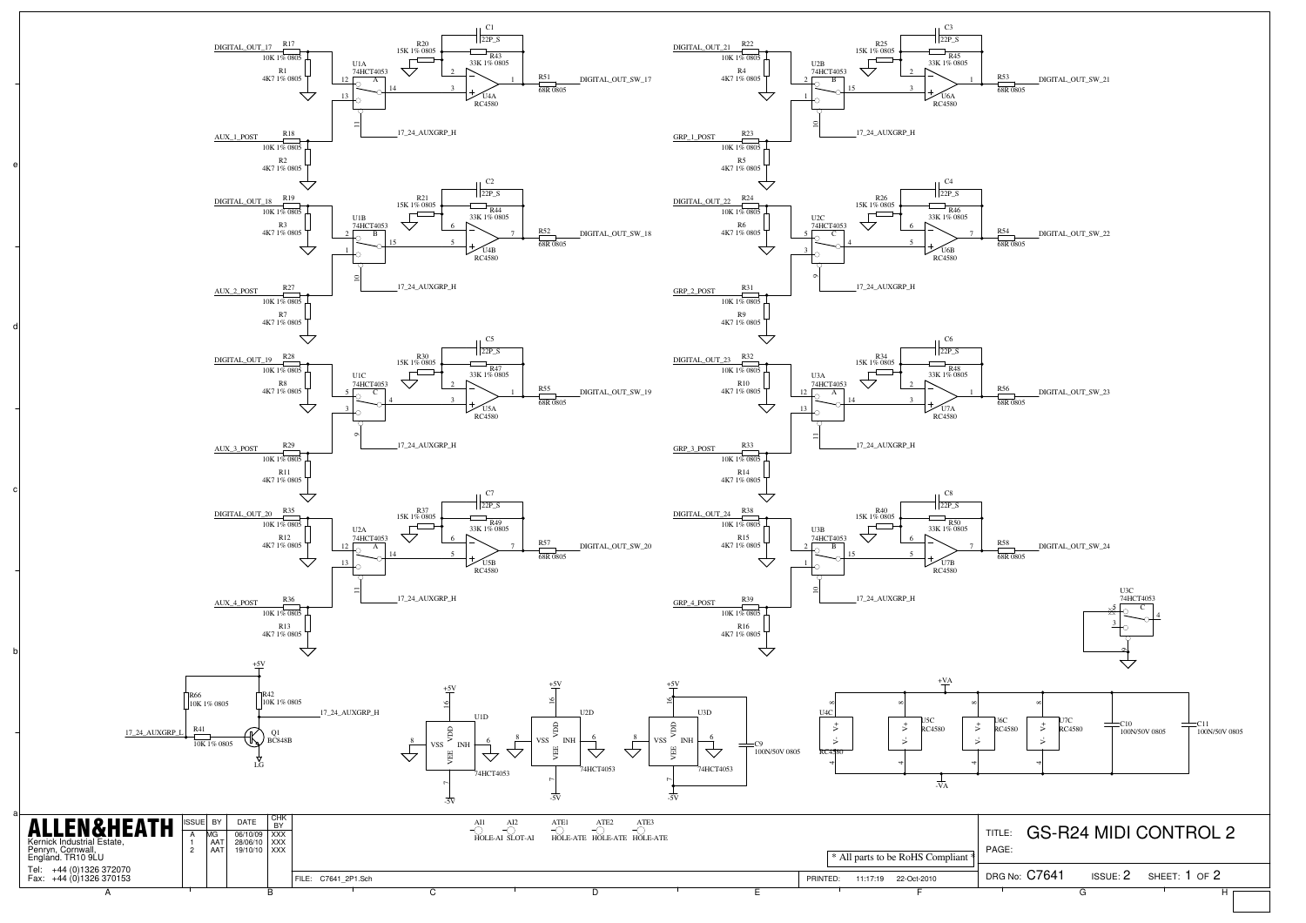